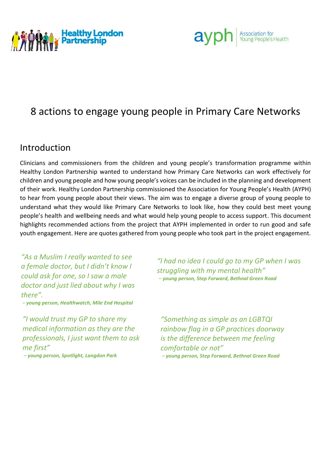



## 8 actions to engage young people in Primary Care Networks

## Introduction

Clinicians and commissioners from the children and young people's transformation programme within Healthy London Partnership wanted to understand how Primary Care Networks can work effectively for children and young people and how young people's voices can be included in the planning and development of their work. Healthy London Partnership commissioned the Association for Young People's Health (AYPH) to hear from young people about their views. The aim was to engage a diverse group of young people to understand what they would like Primary Care Networks to look like, how they could best meet young people's health and wellbeing needs and what would help young people to access support. This document highlights recommended actions from the project that AYPH implemented in order to run good and safe youth engagement. Here are quotes gathered from young people who took part in the project engagement.

*"As a Muslim I really wanted to see a female doctor, but I didn't know I could ask for one, so I saw a male doctor and just lied about why I was there".*

*– young person, Healthwatch, Mile End Hospital*

*"I would trust my GP to share my medical information as they are the professionals, I just want them to ask me first"*

*– young person, Spotlight, Langdon Park*

*"I had no idea I could go to my GP when I was struggling with my mental health" – young person, Step Forward, Bethnal Green Road*

*"Something as simple as an LGBTQI rainbow flag in a GP practices doorway is the difference between me feeling comfortable or not" – young person, Step Forward, Bethnal Green Road*